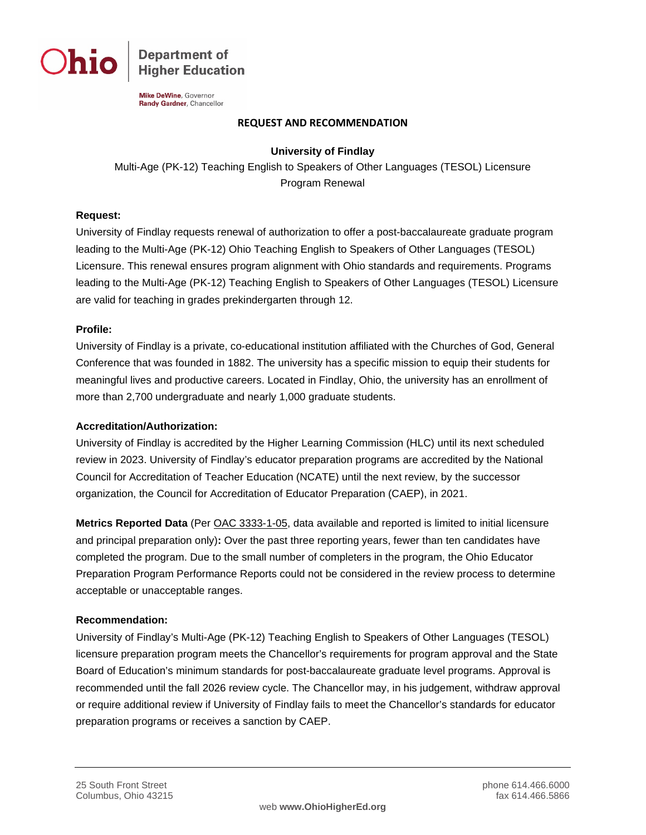

**Department of Higher Education** 

**Mike DeWine**, Governor Randy Gardner, Chancellor

#### **REQUEST AND RECOMMENDATION**

### **University of Findlay**

Multi-Age (PK-12) Teaching English to Speakers of Other Languages (TESOL) Licensure Program Renewal

### **Request:**

University of Findlay requests renewal of authorization to offer a post-baccalaureate graduate program leading to the Multi-Age (PK-12) Ohio Teaching English to Speakers of Other Languages (TESOL) Licensure. This renewal ensures program alignment with Ohio standards and requirements. Programs leading to the Multi-Age (PK-12) Teaching English to Speakers of Other Languages (TESOL) Licensure are valid for teaching in grades prekindergarten through 12.

### **Profile:**

University of Findlay is a private, co-educational institution affiliated with the Churches of God, General Conference that was founded in 1882. The university has a specific mission to equip their students for meaningful lives and productive careers. Located in Findlay, Ohio, the university has an enrollment of more than 2,700 undergraduate and nearly 1,000 graduate students.

### **Accreditation/Authorization:**

University of Findlay is accredited by the Higher Learning Commission (HLC) until its next scheduled review in 2023. University of Findlay's educator preparation programs are accredited by the National Council for Accreditation of Teacher Education (NCATE) until the next review, by the successor organization, the Council for Accreditation of Educator Preparation (CAEP), in 2021.

**Metrics Reported Data** (Per [OAC 3333-1-05,](http://codes.ohio.gov/oac/3333-1-05) data available and reported is limited to initial licensure and principal preparation only)**:** Over the past three reporting years, fewer than ten candidates have completed the program. Due to the small number of completers in the program, the Ohio Educator Preparation Program Performance Reports could not be considered in the review process to determine acceptable or unacceptable ranges.

### **Recommendation:**

University of Findlay's Multi-Age (PK-12) Teaching English to Speakers of Other Languages (TESOL) licensure preparation program meets the Chancellor's requirements for program approval and the State Board of Education's minimum standards for post-baccalaureate graduate level programs. Approval is recommended until the fall 2026 review cycle. The Chancellor may, in his judgement, withdraw approval or require additional review if University of Findlay fails to meet the Chancellor's standards for educator preparation programs or receives a sanction by CAEP.